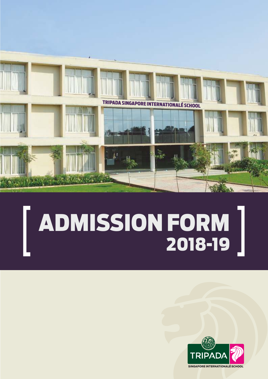

# [ **ADMISSION FORM 2018-19** [

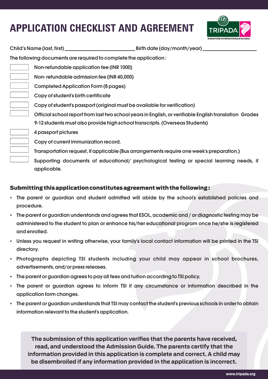# **APPLICATION CHECKLIST AND AGREEMENT**



| Child's Name (last, first) _                                      | Birth date (day/month/year)                                                                            |
|-------------------------------------------------------------------|--------------------------------------------------------------------------------------------------------|
| The following documents are required to complete the application: |                                                                                                        |
| Non-refundable application fee (INR 1000)                         |                                                                                                        |
| Non-refundable admission fee (INR 40,000)                         |                                                                                                        |
| <b>Completed Application Form (8 pages)</b>                       |                                                                                                        |
| Copy of student's birth certificate                               |                                                                                                        |
|                                                                   | Copy of student's passport (original must be available for verification)                               |
|                                                                   | Official school report from last two school years in English, or verifiable English translation Grades |
|                                                                   | 9-12 students must also provide high school transcripts. (Overseas Students)                           |
| 4 passport pictures                                               |                                                                                                        |
| Copy of current immunization record.                              |                                                                                                        |
|                                                                   | Transportation request, if applicable (Bus arrangements require one week's preparation.)               |
|                                                                   | Supporting documents of educational/ psychological testing or special learning needs, if               |
| applicable.                                                       |                                                                                                        |

### **Submitting this application constitutes agreement with the following :**

- The parent or guardian and student admitted will abide by the school's established policies and procedure.
- The parent or guardian understands and agrees that ESOL, academic and / or diagnostic testing may be administered to the student to plan or enhance his/her educational program once he/she is registered andenrolled.
- Unless you request in writing otherwise, your family's local contact information will be printed in the TSI directory.
- Photographs depicting TSI students including your child may appear in school brochures, advertisements, and/or press releases.
- The parent or guardian agrees to pay all fees and tuition according to TSI policy.
- The parent or guardian agrees to inform TSI if any circumstance or information described in the application form changes.
- The parent or guardian understands that TSI may contact the student's previous schools in order to obtain information relevant to the student's application.

**The submission of this application verifies that the parents have received, read, and understood the Admission Guide. The parents certify that the information provided in this application is complete and correct. A child may be disembroiled if any information provided in the application is incorrect.**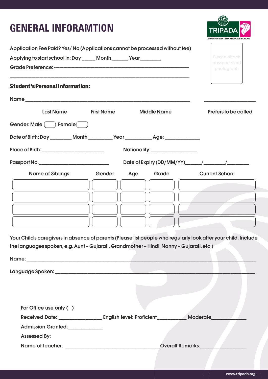### **GENERAL INFORAMTION**



| Application Fee Paid? Yes/ No (Applications cannot be processed without fee)                                                                                                                               |                   |     |                                 |                              |
|------------------------------------------------------------------------------------------------------------------------------------------------------------------------------------------------------------|-------------------|-----|---------------------------------|------------------------------|
| Applying to start school in: Day _____ Month ______ Year _______                                                                                                                                           |                   |     |                                 | Please attach                |
|                                                                                                                                                                                                            |                   |     |                                 | passport-sized<br>photograph |
| <b>Student's Personal Information:</b>                                                                                                                                                                     |                   |     |                                 |                              |
|                                                                                                                                                                                                            |                   |     |                                 |                              |
| <b>Last Name</b>                                                                                                                                                                                           | <b>First Name</b> |     | <b>Middle Name</b>              | <b>Prefers to be called</b>  |
| Gender: Male ( ) Female (                                                                                                                                                                                  |                   |     |                                 |                              |
| Date of Birth: Day _________ Month __________ Year ____________ Age: ___________                                                                                                                           |                   |     |                                 |                              |
| Place of Birth: ____________________________                                                                                                                                                               |                   |     | Nationality: __________________ |                              |
|                                                                                                                                                                                                            |                   |     |                                 |                              |
| <b>Name of Siblings</b>                                                                                                                                                                                    | Gender            | Age | Grade                           | <b>Current School</b>        |
|                                                                                                                                                                                                            |                   |     |                                 |                              |
|                                                                                                                                                                                                            |                   |     |                                 |                              |
|                                                                                                                                                                                                            |                   |     |                                 |                              |
|                                                                                                                                                                                                            |                   |     |                                 |                              |
| Your Child's caregivers in absence of parents (Please list people who regularly look after your child. Include<br>the languages spoken, e.g. Aunt - Gujarati, Grandmother - Hindi, Nanny - Gujarati, etc.) |                   |     |                                 |                              |
|                                                                                                                                                                                                            |                   |     |                                 |                              |
|                                                                                                                                                                                                            |                   |     |                                 |                              |
|                                                                                                                                                                                                            |                   |     |                                 |                              |
|                                                                                                                                                                                                            |                   |     |                                 |                              |
| For Office use only ()                                                                                                                                                                                     |                   |     |                                 |                              |
| Received Date: ___________________ English level: Proficient___________ Moderate____                                                                                                                       |                   |     |                                 |                              |
| Admission Granted:<br><u>Lettimes</u>                                                                                                                                                                      |                   |     |                                 |                              |
| <b>Assessed By:</b>                                                                                                                                                                                        |                   |     |                                 |                              |
| Name of teacher: _________________________________Overall Remarks:______________                                                                                                                           |                   |     |                                 |                              |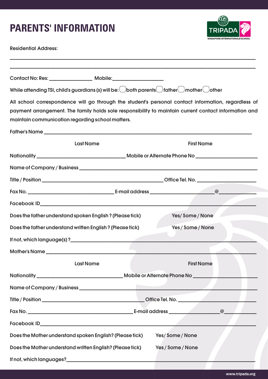### **PARENTS' INFORMATION**



Residential Address:

| Contact No: Res: __________________ Mobile:____________________                                                                                                                                                                                                  |                   |
|------------------------------------------------------------------------------------------------------------------------------------------------------------------------------------------------------------------------------------------------------------------|-------------------|
| While attending TSI, child's guardians (s) will be: $\bigcirc$ both parents $\bigcirc$ father $\bigcirc$ mother $\bigcirc$ other                                                                                                                                 |                   |
| All school correspondence will go through the student's personal contact information, regardless of<br>payment arrangement. The family holds sole responsibility to maintain current contact information and<br>maintain communication regarding school matters. |                   |
|                                                                                                                                                                                                                                                                  |                   |
| <b>Last Name</b>                                                                                                                                                                                                                                                 | <b>First Name</b> |
|                                                                                                                                                                                                                                                                  |                   |
|                                                                                                                                                                                                                                                                  |                   |
|                                                                                                                                                                                                                                                                  |                   |
|                                                                                                                                                                                                                                                                  |                   |
|                                                                                                                                                                                                                                                                  |                   |
| Does the father understand spoken English? (Please tick)                                                                                                                                                                                                         | Yes/Some/None     |
| Does the father understand written English? (Please tick)                                                                                                                                                                                                        | Yes / Some / None |
|                                                                                                                                                                                                                                                                  |                   |
|                                                                                                                                                                                                                                                                  |                   |
| <b>Last Name</b>                                                                                                                                                                                                                                                 | <b>First Name</b> |
|                                                                                                                                                                                                                                                                  |                   |
|                                                                                                                                                                                                                                                                  |                   |
|                                                                                                                                                                                                                                                                  |                   |
|                                                                                                                                                                                                                                                                  | @                 |
|                                                                                                                                                                                                                                                                  |                   |
| Does the Mother understand spoken English? (Please tick)                                                                                                                                                                                                         | Yes/Some/None     |
| Does the Mother understand written English? (Please tick)                                                                                                                                                                                                        | Yes / Some / None |
|                                                                                                                                                                                                                                                                  |                   |

\_\_\_\_\_\_\_\_\_\_\_\_\_\_\_\_\_\_\_\_\_\_\_\_\_\_\_\_\_\_\_\_\_\_\_\_\_\_\_\_\_\_\_\_\_\_\_\_\_\_\_\_\_\_\_\_\_\_\_\_\_\_\_\_\_\_\_\_\_\_\_\_\_\_\_\_\_\_\_\_\_\_\_\_\_\_\_\_\_\_\_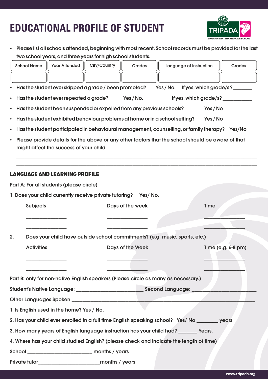# **EDUCATIONAL PROFILE OF STUDENT**



• Please list all schools attended, beginning with most recent. School records must be provided for the last two school years, and three years for high school students.

|                                                                                         | <b>School Name</b>                                                                                                                           | <b>Year Attended</b>                                   | City/Country                    | <b>Grades</b>    | Language of Instruction                                                                       |  | <b>Grades</b>                 |
|-----------------------------------------------------------------------------------------|----------------------------------------------------------------------------------------------------------------------------------------------|--------------------------------------------------------|---------------------------------|------------------|-----------------------------------------------------------------------------------------------|--|-------------------------------|
|                                                                                         |                                                                                                                                              |                                                        |                                 |                  |                                                                                               |  |                               |
|                                                                                         |                                                                                                                                              | Has the student ever skipped a grade / been promoted?  |                                 |                  | Yes/No.                                                                                       |  | If yes, which grade/s?_______ |
| $\bullet$                                                                               |                                                                                                                                              | Has the student ever repeated a grade?                 |                                 | Yes/No.          | If yes, which grade/s?                                                                        |  |                               |
| $\bullet$                                                                               | Has the student been suspended or expelled from any previous schools?<br>Yes / No                                                            |                                                        |                                 |                  |                                                                                               |  |                               |
| $\bullet$                                                                               | Has the student exhibited behaviour problems at home or in a school setting?<br>Yes / No                                                     |                                                        |                                 |                  |                                                                                               |  |                               |
| $\bullet$                                                                               | Has the student participated in behavioural management, counselling, or family therapy? Yes/No                                               |                                                        |                                 |                  |                                                                                               |  |                               |
| $\bullet$                                                                               | Please provide details for the above or any other factors that the school should be aware of that<br>might affect the success of your child. |                                                        |                                 |                  |                                                                                               |  |                               |
|                                                                                         |                                                                                                                                              | <b>LANGUAGE AND LEARNING PROFILE</b>                   |                                 |                  |                                                                                               |  |                               |
|                                                                                         |                                                                                                                                              | Part A: For all students (please circle)               |                                 |                  |                                                                                               |  |                               |
|                                                                                         |                                                                                                                                              | 1. Does your child currently receive private tutoring? |                                 | Yes/No.          |                                                                                               |  |                               |
|                                                                                         | <b>Subjects</b>                                                                                                                              |                                                        | <b>Time</b><br>Days of the week |                  |                                                                                               |  |                               |
|                                                                                         |                                                                                                                                              |                                                        |                                 |                  |                                                                                               |  |                               |
|                                                                                         |                                                                                                                                              |                                                        |                                 |                  |                                                                                               |  |                               |
| 2.                                                                                      |                                                                                                                                              |                                                        |                                 |                  | Does your child have outside school commitments? (e.g. music, sports, etc.)                   |  |                               |
|                                                                                         | <b>Activities</b>                                                                                                                            |                                                        |                                 | Days of the Week |                                                                                               |  | Time (e.g. 6-8 pm)            |
|                                                                                         |                                                                                                                                              |                                                        |                                 |                  |                                                                                               |  |                               |
|                                                                                         |                                                                                                                                              |                                                        |                                 |                  |                                                                                               |  |                               |
|                                                                                         |                                                                                                                                              |                                                        |                                 |                  | Part B: only for non-native English speakers (Please circle as many as necessary.)            |  |                               |
|                                                                                         |                                                                                                                                              |                                                        |                                 |                  |                                                                                               |  |                               |
|                                                                                         |                                                                                                                                              |                                                        |                                 |                  |                                                                                               |  |                               |
|                                                                                         |                                                                                                                                              | 1. Is English used in the home? Yes / No.              |                                 |                  |                                                                                               |  |                               |
|                                                                                         |                                                                                                                                              |                                                        |                                 |                  | 2. Has your child ever enrolled in a full time English speaking school? Yes/ No _______ years |  |                               |
| 3. How many years of English language instruction has your child had? _______ Years.    |                                                                                                                                              |                                                        |                                 |                  |                                                                                               |  |                               |
| 4. Where has your child studied English? (please check and indicate the length of time) |                                                                                                                                              |                                                        |                                 |                  |                                                                                               |  |                               |
|                                                                                         |                                                                                                                                              |                                                        |                                 |                  |                                                                                               |  |                               |
|                                                                                         |                                                                                                                                              |                                                        |                                 |                  |                                                                                               |  |                               |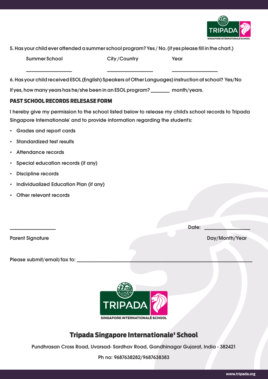

5. Has your child ever attended a summer school program? Yes / No. (if yes please fill in the chart.)

| <b>Summer School</b><br>City/Country<br>Year |  |
|----------------------------------------------|--|
|----------------------------------------------|--|

6. Has your child received ESOL (English) Speakers of Other Languages) instruction at school? Yes/No

If yes, how many years has he/she been in an ESOL program? \_\_\_\_\_\_\_\_\_ month/years.

### **PAST SCHOOL RECORDS RELESASE FORM**

I hereby give my permission to the school listed below to release my child's school records to Tripada Singapore Internationale' and to provide information regarding the student's:

- Grades and report cards
- **Standardized test results**
- Attendance records
- Special education records (if any)
- Discipline records
- · Individualized Education Plan (if any)
- Other relevant records

**Parent Signature** 

**Date:** 

Day/Month/Year

Please submit/email/fax to:



### Tripada Singapore Internationale' School

Pundhrasan Cross Road, Uvarsad-Sardhav Road, Gandhinagar Gujarat, India - 382421

Ph no: 9687638282/9687638383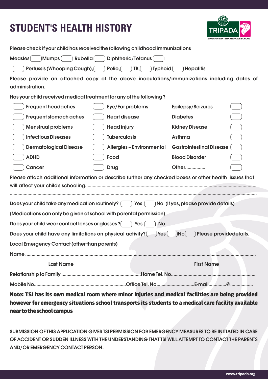# **STUDENT'S HEALTH HISTORY**



| Please check if your child has received the following childhood immunizations                                 |                                     |                                                                                                        |  |  |  |
|---------------------------------------------------------------------------------------------------------------|-------------------------------------|--------------------------------------------------------------------------------------------------------|--|--|--|
| Mumps (<br>Rubella <sup>(</sup><br>Diphtheria/Tetanus(<br><b>Measles</b>                                      |                                     |                                                                                                        |  |  |  |
| Pertussis (Whooping Cough),                                                                                   | Polio, $($<br>TB,<br><b>Typhoid</b> | <b>Hepatitis</b>                                                                                       |  |  |  |
| Please provide an attached copy of the above inoculations/immunizations including dates of<br>administration. |                                     |                                                                                                        |  |  |  |
| Has your child received medical treatment for any of the following?                                           |                                     |                                                                                                        |  |  |  |
| <b>Frequent headaches</b>                                                                                     | Eye/Ear problems                    | <b>Epilepsy/Seizures</b>                                                                               |  |  |  |
| <b>Frequent stomach aches</b>                                                                                 | <b>Heart disease</b>                | <b>Diabetes</b>                                                                                        |  |  |  |
| <b>Menstrual problems</b>                                                                                     | <b>Head injury</b>                  | <b>Kidney Disease</b>                                                                                  |  |  |  |
| <b>Infectious Diseases</b>                                                                                    | <b>Tuberculosis</b>                 | Asthma                                                                                                 |  |  |  |
| <b>Dermatological Disease</b>                                                                                 | <b>Allergies - Environmental</b>    | <b>Gastrointestinal Disease</b>                                                                        |  |  |  |
| <b>ADHD</b>                                                                                                   | Food                                | <b>Blood Disorder</b>                                                                                  |  |  |  |
| <b>Cancer</b>                                                                                                 | <b>Drug</b>                         | Other                                                                                                  |  |  |  |
|                                                                                                               |                                     | Please attach additional information or describe further any checked boxes or other health issues that |  |  |  |
| Does your child take any medication routinely?<br>No (If yes, please provide details)<br>Yes                  |                                     |                                                                                                        |  |  |  |
| (Medications can only be given at school with parental permission)                                            |                                     |                                                                                                        |  |  |  |
| Does your child wear contact lenses or glasses ?<br><b>Yes</b><br><b>No</b>                                   |                                     |                                                                                                        |  |  |  |
| Does your child have any limitations on physical activity?<br>Please providedetails.<br>Yes<br><b>No</b>      |                                     |                                                                                                        |  |  |  |
| <b>Local Emergency Contact (other than parents)</b>                                                           |                                     |                                                                                                        |  |  |  |
|                                                                                                               |                                     |                                                                                                        |  |  |  |
| <b>Last Name</b>                                                                                              |                                     | <b>First Name</b>                                                                                      |  |  |  |
|                                                                                                               |                                     |                                                                                                        |  |  |  |
|                                                                                                               |                                     |                                                                                                        |  |  |  |
|                                                                                                               |                                     | Note: TSI has its own medical room where minor injuries and medical facilities are being provided      |  |  |  |

**however for emergency situations school transports its students to a medical care facility available near to the school campus**

SUBMISSION OF THIS APPLICATION GIVES TSI PERMISSION FOR EMERGENCY MEASURES TO BE INITIATED IN CASE OF ACCIDENT OR SUDDEN ILLNESS WITH THE UNDERSTANDING THAT TSI WILL ATTEMPT TO CONTACT THE PARENTS AND/OR EMERGENCY CONTACT PERSON.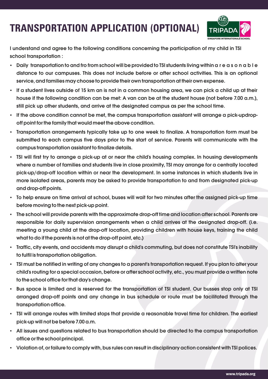# **TRANSPORTATION APPLICATION (OPTIONAL)**



I understand and agree to the following conditions concerning the participation of my child in TSI school transportation:

- $\cdot$  Daily transportation to and fro from school will be provided to TSI students living within a r e a s o n a b l e distance to our campuses. This does not include before or after school activities. This is an optional service, and families may choose to provide their own transportation at their own expense.
- If a student lives outside of 15 km an is not in a common housing area, we can pick a child up at their house if the following condition can be met: A van can be at the student house (not before 7.00 a.m.), still pick up other students, and arrive at the designated campus as per the school time.
- If the above condition cannot be met, the campus transportation assistant will arrange a pick-updropoff point for the family that would meet the above condition.
- Transportation arrangements typically take up to one week to finalize. A transportation form must be submitted to each campus five days prior to the start of service. Parents will communicate with the campus transportation assistant to finalize details.
- TSI will first try to arrange a pick-up at or near the child's housing complex. In housing developments where a number of families and students live in close proximity, TSI may arrange for a centrally located pick-up/drop-off location within or near the development. In some instances in which students live in more isolated areas, parents may be asked to provide transportation to and from designated pick-up and drop-off points.
- To help ensure on time arrival at school, buses will wait for two minutes after the assigned pick-up time before moving to the next pick-up point.
- The school will provide parents with the approximate drop-off time and location after school. Parents are responsible for daily supervision arrangements when a child arrives at the designated drop-off. (i.e. meeting a young child at the drop-off location, providing children with house keys, training the child what to do if the parents is not at the drop-off point, etc.)
- Traffic, city events, and accidents may disrupt a child's commuting, but does not constitute TSI's inability to fulfil is transportation obligation.
- TSI must be notified in writing of any changes to a parent's transportation request. If you plan to alter your child's routing for a special occasion, before or after school activity, etc., you must provide a written note to the school office for that day's change.
- Bus space is limited and is reserved for the transportation of TSI student. Our busses stop only at TSI arranged drop-off points and any change in bus schedule or route must be facilitated through the transportation office.
- TSI will arrange routes with limited stops that provide a reasonable travel time for children. The earliest pick-up will not be before 7.00 a.m.
- All issues and questions related to bus transportation should be directed to the campus transportation office or the school principal.
- $\cdot$  Violation of, or failure to comply with, bus rules can result in disciplinary action consistent with TSI polices.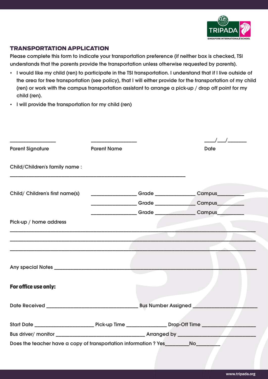

### **TRANSPORTATION APPLICATION**

Please complete this form to indicate your transportation preference (if neither box is checked, TSI understands that the parents provide the transportation unless otherwise requested by parents).

- . I would like my child (ren) to participate in the TSI transportation. I understand that if I live outside of the area for free transportation (see policy), that I will either provide for the transportation of my child (ren) or work with the campus transportation assistant to arrange a pick-up / drop off point for my child (ren).
- I will provide the transportation for my child (ren)

| <b>Parent Signature</b>         | <b>Parent Name</b> |  | <b>Date</b>                                               |  |
|---------------------------------|--------------------|--|-----------------------------------------------------------|--|
| Child/Children's family name:   |                    |  |                                                           |  |
| Child/ Children's first name(s) |                    |  | ___________________Grade ________________Campus__________ |  |
|                                 |                    |  | _________________Grade _______________Campus__________    |  |
|                                 |                    |  |                                                           |  |
| Pick-up / home address          |                    |  |                                                           |  |
|                                 |                    |  |                                                           |  |
|                                 |                    |  |                                                           |  |
|                                 |                    |  |                                                           |  |
| For office use only:            |                    |  |                                                           |  |
|                                 |                    |  |                                                           |  |
|                                 |                    |  |                                                           |  |
|                                 |                    |  |                                                           |  |
|                                 |                    |  |                                                           |  |